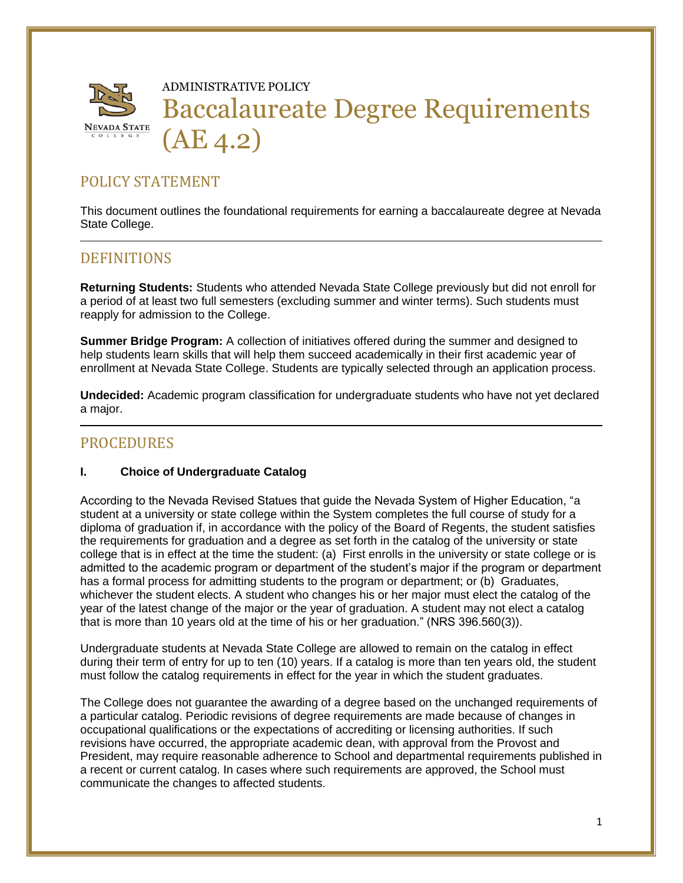

# ADMINISTRATIVE POLICY Baccalaureate Degree Requirements (AE 4.2)

# POLICY STATEMENT

This document outlines the foundational requirements for earning a baccalaureate degree at Nevada State College.

## **DEFINITIONS**

**Returning Students:** Students who attended Nevada State College previously but did not enroll for a period of at least two full semesters (excluding summer and winter terms). Such students must reapply for admission to the College.

**Summer Bridge Program:** A collection of initiatives offered during the summer and designed to help students learn skills that will help them succeed academically in their first academic year of enrollment at Nevada State College. Students are typically selected through an application process.

**Undecided:** Academic program classification for undergraduate students who have not yet declared a major.

## PROCEDURES

#### **I. Choice of Undergraduate Catalog**

According to the Nevada Revised Statues that guide the Nevada System of Higher Education, "a student at a university or state college within the System completes the full course of study for a diploma of graduation if, in accordance with the policy of the Board of Regents, the student satisfies the requirements for graduation and a degree as set forth in the catalog of the university or state college that is in effect at the time the student: (a) First enrolls in the university or state college or is admitted to the academic program or department of the student's major if the program or department has a formal process for admitting students to the program or department; or (b) Graduates, whichever the student elects. A student who changes his or her major must elect the catalog of the year of the latest change of the major or the year of graduation. A student may not elect a catalog that is more than 10 years old at the time of his or her graduation." (NRS 396.560(3)).

Undergraduate students at Nevada State College are allowed to remain on the catalog in effect during their term of entry for up to ten (10) years. If a catalog is more than ten years old, the student must follow the catalog requirements in effect for the year in which the student graduates.

The College does not guarantee the awarding of a degree based on the unchanged requirements of a particular catalog. Periodic revisions of degree requirements are made because of changes in occupational qualifications or the expectations of accrediting or licensing authorities. If such revisions have occurred, the appropriate academic dean, with approval from the Provost and President, may require reasonable adherence to School and departmental requirements published in a recent or current catalog. In cases where such requirements are approved, the School must communicate the changes to affected students.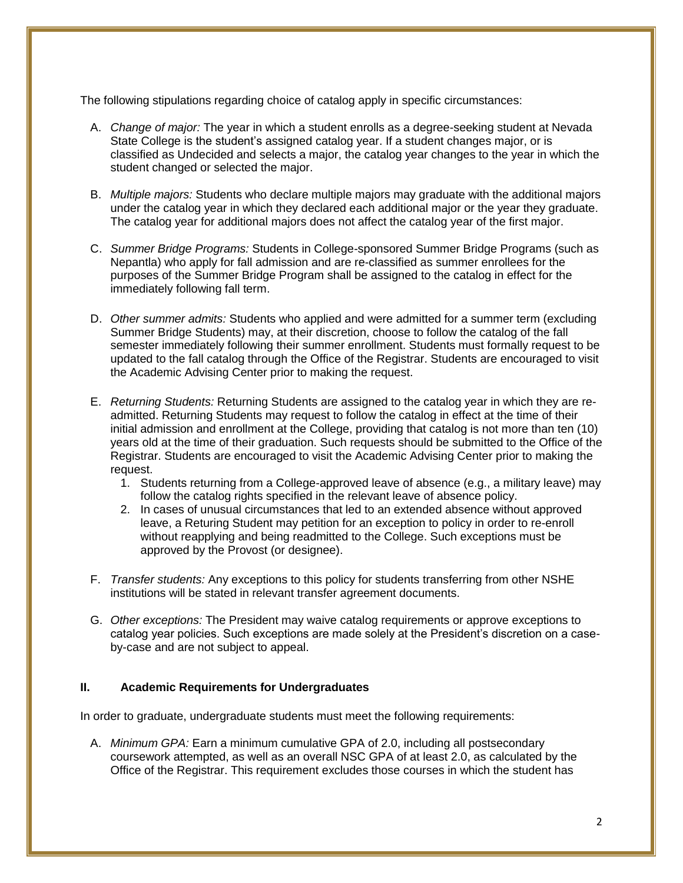The following stipulations regarding choice of catalog apply in specific circumstances:

- A. *Change of major:* The year in which a student enrolls as a degree-seeking student at Nevada State College is the student's assigned catalog year. If a student changes major, or is classified as Undecided and selects a major, the catalog year changes to the year in which the student changed or selected the major.
- B. *Multiple majors:* Students who declare multiple majors may graduate with the additional majors under the catalog year in which they declared each additional major or the year they graduate. The catalog year for additional majors does not affect the catalog year of the first major.
- C. *Summer Bridge Programs:* Students in College-sponsored Summer Bridge Programs (such as Nepantla) who apply for fall admission and are re-classified as summer enrollees for the purposes of the Summer Bridge Program shall be assigned to the catalog in effect for the immediately following fall term.
- D. *Other summer admits:* Students who applied and were admitted for a summer term (excluding Summer Bridge Students) may, at their discretion, choose to follow the catalog of the fall semester immediately following their summer enrollment. Students must formally request to be updated to the fall catalog through the Office of the Registrar. Students are encouraged to visit the Academic Advising Center prior to making the request.
- E. *Returning Students:* Returning Students are assigned to the catalog year in which they are readmitted. Returning Students may request to follow the catalog in effect at the time of their initial admission and enrollment at the College, providing that catalog is not more than ten (10) years old at the time of their graduation. Such requests should be submitted to the Office of the Registrar. Students are encouraged to visit the Academic Advising Center prior to making the request.
	- 1. Students returning from a College-approved leave of absence (e.g., a military leave) may follow the catalog rights specified in the relevant leave of absence policy.
	- 2. In cases of unusual circumstances that led to an extended absence without approved leave, a Returing Student may petition for an exception to policy in order to re-enroll without reapplying and being readmitted to the College. Such exceptions must be approved by the Provost (or designee).
- F. *Transfer students:* Any exceptions to this policy for students transferring from other NSHE institutions will be stated in relevant transfer agreement documents.
- G. *Other exceptions:* The President may waive catalog requirements or approve exceptions to catalog year policies. Such exceptions are made solely at the President's discretion on a caseby-case and are not subject to appeal.

#### **II. Academic Requirements for Undergraduates**

In order to graduate, undergraduate students must meet the following requirements:

A. *Minimum GPA:* Earn a minimum cumulative GPA of 2.0, including all postsecondary coursework attempted, as well as an overall NSC GPA of at least 2.0, as calculated by the Office of the Registrar. This requirement excludes those courses in which the student has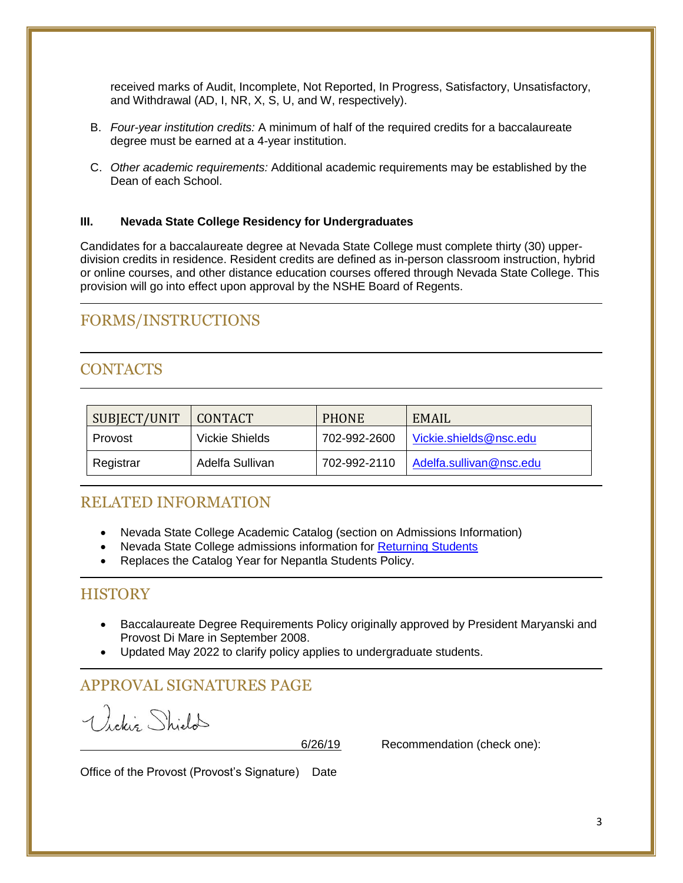received marks of Audit, Incomplete, Not Reported, In Progress, Satisfactory, Unsatisfactory, and Withdrawal (AD, I, NR, X, S, U, and W, respectively).

- B. *Four-year institution credits:* A minimum of half of the required credits for a baccalaureate degree must be earned at a 4-year institution.
- C. *Other academic requirements:* Additional academic requirements may be established by the Dean of each School.

#### **III. Nevada State College Residency for Undergraduates**

Candidates for a baccalaureate degree at Nevada State College must complete thirty (30) upperdivision credits in residence. Resident credits are defined as in-person classroom instruction, hybrid or online courses, and other distance education courses offered through Nevada State College. This provision will go into effect upon approval by the NSHE Board of Regents.

# FORMS/INSTRUCTIONS

# **CONTACTS**

| SUBJECT/UNIT | <b>CONTACT</b>  | <b>PHONE</b> | EMAIL                   |
|--------------|-----------------|--------------|-------------------------|
| Provost      | Vickie Shields  | 702-992-2600 | Vickie.shields@nsc.edu  |
| Registrar    | Adelfa Sullivan | 702-992-2110 | Adelfa.sullivan@nsc.edu |

## RELATED INFORMATION

- Nevada State College Academic Catalog (section on Admissions Information)
- Nevada State College admissions information for [Returning Students](https://nsc.edu/admissions/returning-student/)
- Replaces the Catalog Year for Nepantla Students Policy.

## **HISTORY**

- Baccalaureate Degree Requirements Policy originally approved by President Maryanski and Provost Di Mare in September 2008.
- Updated May 2022 to clarify policy applies to undergraduate students.

# APPROVAL SIGNATURES PAGE

Vickiz Shield

6/26/19 Recommendation (check one):

Office of the Provost (Provost's Signature) Date